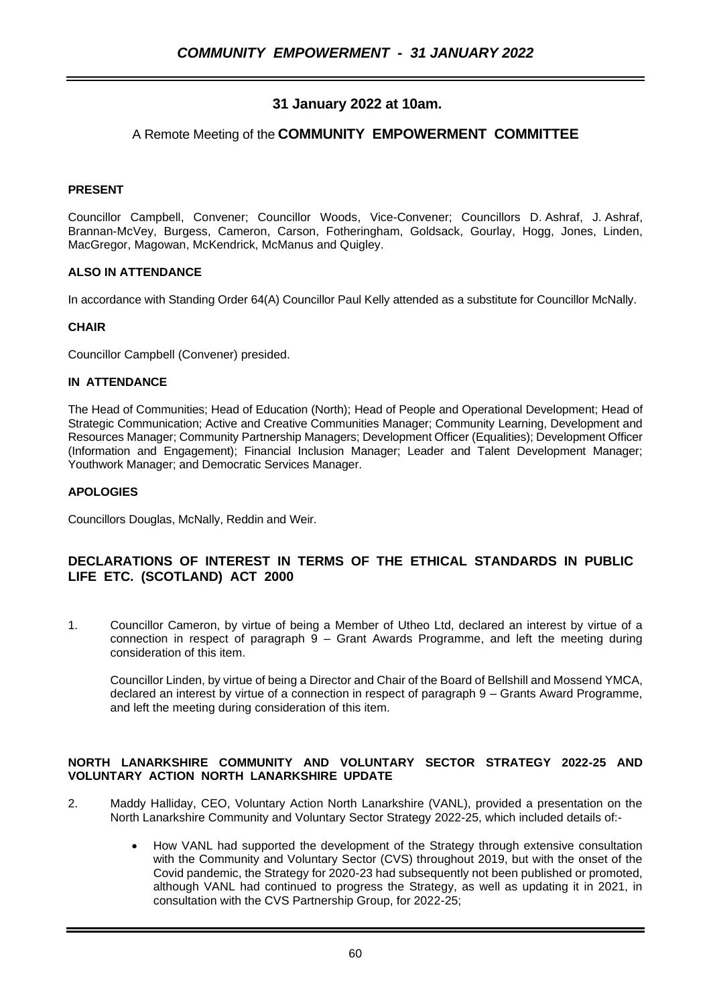# **31 January 2022 at 10am.**

# A Remote Meeting of the **COMMUNITY EMPOWERMENT COMMITTEE**

# **PRESENT**

Councillor Campbell, Convener; Councillor Woods, Vice-Convener; Councillors D. Ashraf, J. Ashraf, Brannan-McVey, Burgess, Cameron, Carson, Fotheringham, Goldsack, Gourlay, Hogg, Jones, Linden, MacGregor, Magowan, McKendrick, McManus and Quigley.

### **ALSO IN ATTENDANCE**

In accordance with Standing Order 64(A) Councillor Paul Kelly attended as a substitute for Councillor McNally.

### **CHAIR**

Councillor Campbell (Convener) presided.

### **IN ATTENDANCE**

The Head of Communities; Head of Education (North); Head of People and Operational Development; Head of Strategic Communication; Active and Creative Communities Manager; Community Learning, Development and Resources Manager; Community Partnership Managers; Development Officer (Equalities); Development Officer (Information and Engagement); Financial Inclusion Manager; Leader and Talent Development Manager; Youthwork Manager; and Democratic Services Manager.

### **APOLOGIES**

Councillors Douglas, McNally, Reddin and Weir.

# **DECLARATIONS OF INTEREST IN TERMS OF THE ETHICAL STANDARDS IN PUBLIC LIFE ETC. (SCOTLAND) ACT 2000**

1. Councillor Cameron, by virtue of being a Member of Utheo Ltd, declared an interest by virtue of a connection in respect of paragraph  $9 -$  Grant Awards Programme, and left the meeting during consideration of this item.

Councillor Linden, by virtue of being a Director and Chair of the Board of Bellshill and Mossend YMCA, declared an interest by virtue of a connection in respect of paragraph 9 – Grants Award Programme, and left the meeting during consideration of this item.

#### **NORTH LANARKSHIRE COMMUNITY AND VOLUNTARY SECTOR STRATEGY 2022-25 AND VOLUNTARY ACTION NORTH LANARKSHIRE UPDATE**

- 2. Maddy Halliday, CEO, Voluntary Action North Lanarkshire (VANL), provided a presentation on the North Lanarkshire Community and Voluntary Sector Strategy 2022-25, which included details of:-
	- How VANL had supported the development of the Strategy through extensive consultation with the Community and Voluntary Sector (CVS) throughout 2019, but with the onset of the Covid pandemic, the Strategy for 2020-23 had subsequently not been published or promoted, although VANL had continued to progress the Strategy, as well as updating it in 2021, in consultation with the CVS Partnership Group, for 2022-25;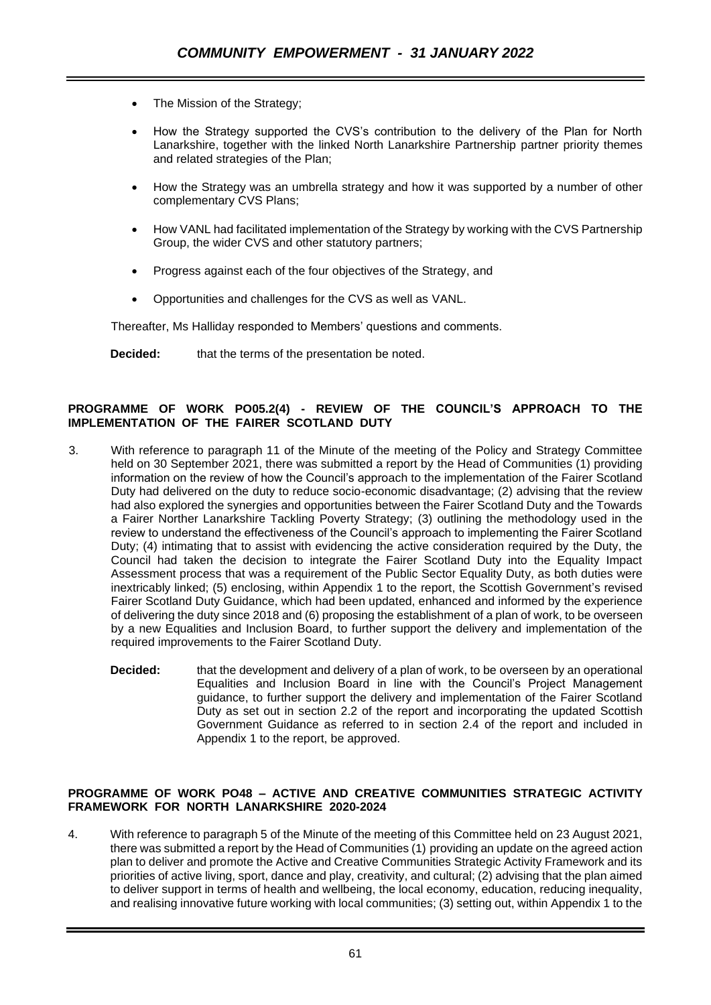- The Mission of the Strategy;
- How the Strategy supported the CVS's contribution to the delivery of the Plan for North Lanarkshire, together with the linked North Lanarkshire Partnership partner priority themes and related strategies of the Plan;
- How the Strategy was an umbrella strategy and how it was supported by a number of other complementary CVS Plans;
- How VANL had facilitated implementation of the Strategy by working with the CVS Partnership Group, the wider CVS and other statutory partners;
- Progress against each of the four objectives of the Strategy, and
- Opportunities and challenges for the CVS as well as VANL.

Thereafter, Ms Halliday responded to Members' questions and comments.

**Decided:** that the terms of the presentation be noted.

## **PROGRAMME OF WORK PO05.2(4) - REVIEW OF THE COUNCIL'S APPROACH TO THE IMPLEMENTATION OF THE FAIRER SCOTLAND DUTY**

- 3. With reference to paragraph 11 of the Minute of the meeting of the Policy and Strategy Committee held on 30 September 2021, there was submitted a report by the Head of Communities (1) providing information on the review of how the Council's approach to the implementation of the Fairer Scotland Duty had delivered on the duty to reduce socio-economic disadvantage; (2) advising that the review had also explored the synergies and opportunities between the Fairer Scotland Duty and the Towards a Fairer Norther Lanarkshire Tackling Poverty Strategy; (3) outlining the methodology used in the review to understand the effectiveness of the Council's approach to implementing the Fairer Scotland Duty; (4) intimating that to assist with evidencing the active consideration required by the Duty, the Council had taken the decision to integrate the Fairer Scotland Duty into the Equality Impact Assessment process that was a requirement of the Public Sector Equality Duty, as both duties were inextricably linked; (5) enclosing, within Appendix 1 to the report, the Scottish Government's revised Fairer Scotland Duty Guidance, which had been updated, enhanced and informed by the experience of delivering the duty since 2018 and (6) proposing the establishment of a plan of work, to be overseen by a new Equalities and Inclusion Board, to further support the delivery and implementation of the required improvements to the Fairer Scotland Duty.
	- **Decided:** that the development and delivery of a plan of work, to be overseen by an operational Equalities and Inclusion Board in line with the Council's Project Management guidance, to further support the delivery and implementation of the Fairer Scotland Duty as set out in section 2.2 of the report and incorporating the updated Scottish Government Guidance as referred to in section 2.4 of the report and included in Appendix 1 to the report, be approved.

## **PROGRAMME OF WORK PO48 – ACTIVE AND CREATIVE COMMUNITIES STRATEGIC ACTIVITY FRAMEWORK FOR NORTH LANARKSHIRE 2020-2024**

4. With reference to paragraph 5 of the Minute of the meeting of this Committee held on 23 August 2021, there was submitted a report by the Head of Communities (1) providing an update on the agreed action plan to deliver and promote the Active and Creative Communities Strategic Activity Framework and its priorities of active living, sport, dance and play, creativity, and cultural; (2) advising that the plan aimed to deliver support in terms of health and wellbeing, the local economy, education, reducing inequality, and realising innovative future working with local communities; (3) setting out, within Appendix 1 to the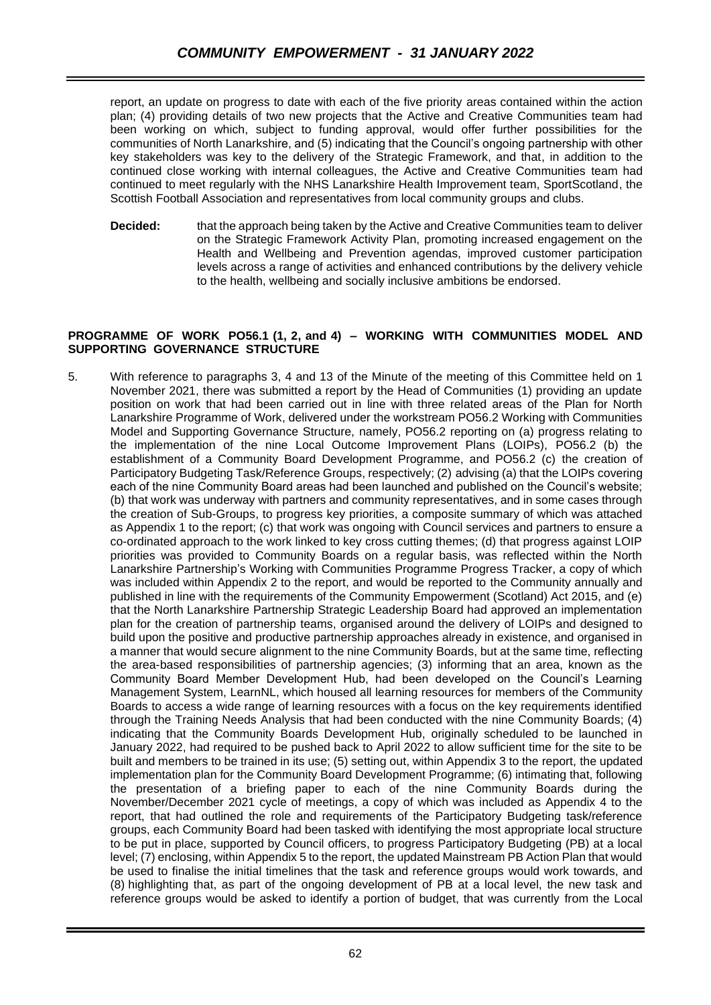report, an update on progress to date with each of the five priority areas contained within the action plan; (4) providing details of two new projects that the Active and Creative Communities team had been working on which, subject to funding approval, would offer further possibilities for the communities of North Lanarkshire, and (5) indicating that the Council's ongoing partnership with other key stakeholders was key to the delivery of the Strategic Framework, and that, in addition to the continued close working with internal colleagues, the Active and Creative Communities team had continued to meet regularly with the NHS Lanarkshire Health Improvement team, SportScotland, the Scottish Football Association and representatives from local community groups and clubs.

**Decided:** that the approach being taken by the Active and Creative Communities team to deliver on the Strategic Framework Activity Plan, promoting increased engagement on the Health and Wellbeing and Prevention agendas, improved customer participation levels across a range of activities and enhanced contributions by the delivery vehicle to the health, wellbeing and socially inclusive ambitions be endorsed.

#### **PROGRAMME OF WORK PO56.1 (1, 2, and 4) – WORKING WITH COMMUNITIES MODEL AND SUPPORTING GOVERNANCE STRUCTURE**

5. With reference to paragraphs 3, 4 and 13 of the Minute of the meeting of this Committee held on 1 November 2021, there was submitted a report by the Head of Communities (1) providing an update position on work that had been carried out in line with three related areas of the Plan for North Lanarkshire Programme of Work, delivered under the workstream PO56.2 Working with Communities Model and Supporting Governance Structure, namely, PO56.2 reporting on (a) progress relating to the implementation of the nine Local Outcome Improvement Plans (LOIPs), PO56.2 (b) the establishment of a Community Board Development Programme, and PO56.2 (c) the creation of Participatory Budgeting Task/Reference Groups, respectively; (2) advising (a) that the LOIPs covering each of the nine Community Board areas had been launched and published on the Council's website; (b) that work was underway with partners and community representatives, and in some cases through the creation of Sub-Groups, to progress key priorities, a composite summary of which was attached as Appendix 1 to the report; (c) that work was ongoing with Council services and partners to ensure a co-ordinated approach to the work linked to key cross cutting themes; (d) that progress against LOIP priorities was provided to Community Boards on a regular basis, was reflected within the North Lanarkshire Partnership's Working with Communities Programme Progress Tracker, a copy of which was included within Appendix 2 to the report, and would be reported to the Community annually and published in line with the requirements of the Community Empowerment (Scotland) Act 2015, and (e) that the North Lanarkshire Partnership Strategic Leadership Board had approved an implementation plan for the creation of partnership teams, organised around the delivery of LOIPs and designed to build upon the positive and productive partnership approaches already in existence, and organised in a manner that would secure alignment to the nine Community Boards, but at the same time, reflecting the area-based responsibilities of partnership agencies; (3) informing that an area, known as the Community Board Member Development Hub, had been developed on the Council's Learning Management System, LearnNL, which housed all learning resources for members of the Community Boards to access a wide range of learning resources with a focus on the key requirements identified through the Training Needs Analysis that had been conducted with the nine Community Boards; (4) indicating that the Community Boards Development Hub, originally scheduled to be launched in January 2022, had required to be pushed back to April 2022 to allow sufficient time for the site to be built and members to be trained in its use; (5) setting out, within Appendix 3 to the report, the updated implementation plan for the Community Board Development Programme; (6) intimating that, following the presentation of a briefing paper to each of the nine Community Boards during the November/December 2021 cycle of meetings, a copy of which was included as Appendix 4 to the report, that had outlined the role and requirements of the Participatory Budgeting task/reference groups, each Community Board had been tasked with identifying the most appropriate local structure to be put in place, supported by Council officers, to progress Participatory Budgeting (PB) at a local level; (7) enclosing, within Appendix 5 to the report, the updated Mainstream PB Action Plan that would be used to finalise the initial timelines that the task and reference groups would work towards, and (8) highlighting that, as part of the ongoing development of PB at a local level, the new task and reference groups would be asked to identify a portion of budget, that was currently from the Local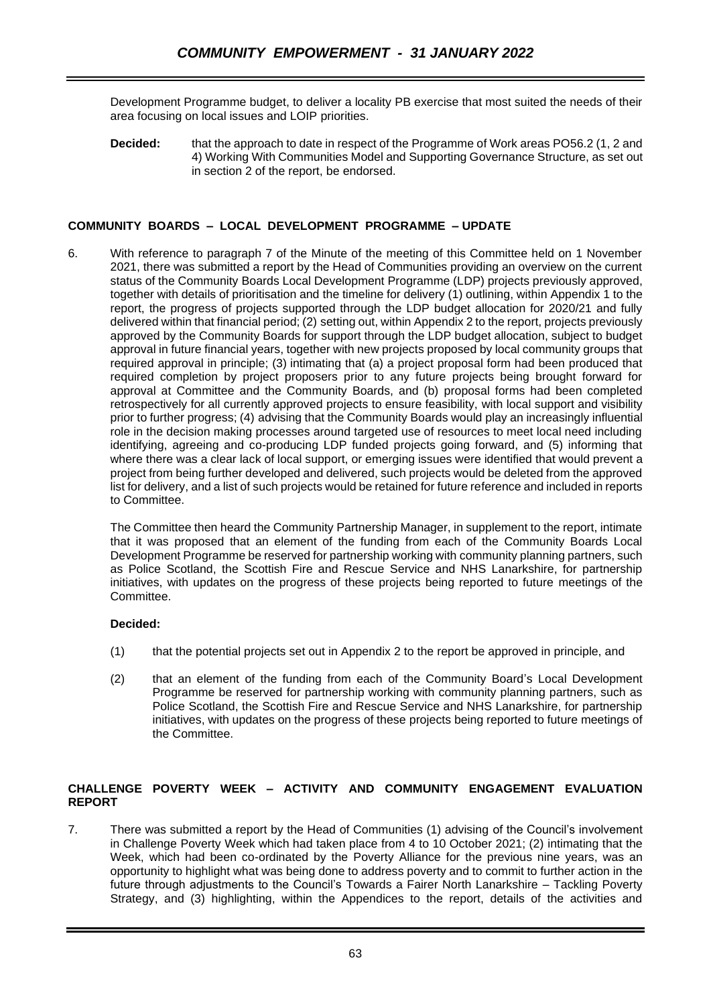Development Programme budget, to deliver a locality PB exercise that most suited the needs of their area focusing on local issues and LOIP priorities.

**Decided:** that the approach to date in respect of the Programme of Work areas PO56.2 (1, 2 and 4) Working With Communities Model and Supporting Governance Structure, as set out in section 2 of the report, be endorsed.

# **COMMUNITY BOARDS – LOCAL DEVELOPMENT PROGRAMME – UPDATE**

6. With reference to paragraph 7 of the Minute of the meeting of this Committee held on 1 November 2021, there was submitted a report by the Head of Communities providing an overview on the current status of the Community Boards Local Development Programme (LDP) projects previously approved, together with details of prioritisation and the timeline for delivery (1) outlining, within Appendix 1 to the report, the progress of projects supported through the LDP budget allocation for 2020/21 and fully delivered within that financial period; (2) setting out, within Appendix 2 to the report, projects previously approved by the Community Boards for support through the LDP budget allocation, subject to budget approval in future financial years, together with new projects proposed by local community groups that required approval in principle; (3) intimating that (a) a project proposal form had been produced that required completion by project proposers prior to any future projects being brought forward for approval at Committee and the Community Boards, and (b) proposal forms had been completed retrospectively for all currently approved projects to ensure feasibility, with local support and visibility prior to further progress; (4) advising that the Community Boards would play an increasingly influential role in the decision making processes around targeted use of resources to meet local need including identifying, agreeing and co-producing LDP funded projects going forward, and (5) informing that where there was a clear lack of local support, or emerging issues were identified that would prevent a project from being further developed and delivered, such projects would be deleted from the approved list for delivery, and a list of such projects would be retained for future reference and included in reports to Committee.

The Committee then heard the Community Partnership Manager, in supplement to the report, intimate that it was proposed that an element of the funding from each of the Community Boards Local Development Programme be reserved for partnership working with community planning partners, such as Police Scotland, the Scottish Fire and Rescue Service and NHS Lanarkshire, for partnership initiatives, with updates on the progress of these projects being reported to future meetings of the Committee.

### **Decided:**

- (1) that the potential projects set out in Appendix 2 to the report be approved in principle, and
- (2) that an element of the funding from each of the Community Board's Local Development Programme be reserved for partnership working with community planning partners, such as Police Scotland, the Scottish Fire and Rescue Service and NHS Lanarkshire, for partnership initiatives, with updates on the progress of these projects being reported to future meetings of the Committee.

### **CHALLENGE POVERTY WEEK – ACTIVITY AND COMMUNITY ENGAGEMENT EVALUATION REPORT**

7. There was submitted a report by the Head of Communities (1) advising of the Council's involvement in Challenge Poverty Week which had taken place from 4 to 10 October 2021; (2) intimating that the Week, which had been co-ordinated by the Poverty Alliance for the previous nine years, was an opportunity to highlight what was being done to address poverty and to commit to further action in the future through adjustments to the Council's Towards a Fairer North Lanarkshire – Tackling Poverty Strategy, and (3) highlighting, within the Appendices to the report, details of the activities and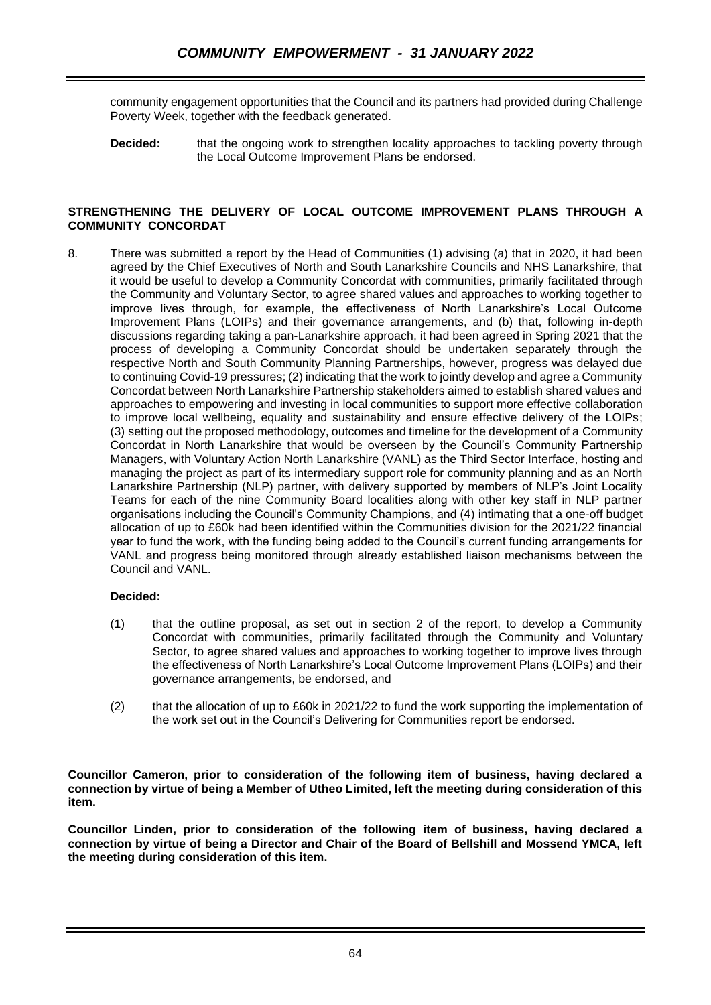community engagement opportunities that the Council and its partners had provided during Challenge Poverty Week, together with the feedback generated.

**Decided:** that the ongoing work to strengthen locality approaches to tackling poverty through the Local Outcome Improvement Plans be endorsed.

#### **STRENGTHENING THE DELIVERY OF LOCAL OUTCOME IMPROVEMENT PLANS THROUGH A COMMUNITY CONCORDAT**

8. There was submitted a report by the Head of Communities (1) advising (a) that in 2020, it had been agreed by the Chief Executives of North and South Lanarkshire Councils and NHS Lanarkshire, that it would be useful to develop a Community Concordat with communities, primarily facilitated through the Community and Voluntary Sector, to agree shared values and approaches to working together to improve lives through, for example, the effectiveness of North Lanarkshire's Local Outcome Improvement Plans (LOIPs) and their governance arrangements, and (b) that, following in-depth discussions regarding taking a pan-Lanarkshire approach, it had been agreed in Spring 2021 that the process of developing a Community Concordat should be undertaken separately through the respective North and South Community Planning Partnerships, however, progress was delayed due to continuing Covid-19 pressures; (2) indicating that the work to jointly develop and agree a Community Concordat between North Lanarkshire Partnership stakeholders aimed to establish shared values and approaches to empowering and investing in local communities to support more effective collaboration to improve local wellbeing, equality and sustainability and ensure effective delivery of the LOIPs; (3) setting out the proposed methodology, outcomes and timeline for the development of a Community Concordat in North Lanarkshire that would be overseen by the Council's Community Partnership Managers, with Voluntary Action North Lanarkshire (VANL) as the Third Sector Interface, hosting and managing the project as part of its intermediary support role for community planning and as an North Lanarkshire Partnership (NLP) partner, with delivery supported by members of NLP's Joint Locality Teams for each of the nine Community Board localities along with other key staff in NLP partner organisations including the Council's Community Champions, and (4) intimating that a one-off budget allocation of up to £60k had been identified within the Communities division for the 2021/22 financial year to fund the work, with the funding being added to the Council's current funding arrangements for VANL and progress being monitored through already established liaison mechanisms between the Council and VANL.

### **Decided:**

- (1) that the outline proposal, as set out in section 2 of the report, to develop a Community Concordat with communities, primarily facilitated through the Community and Voluntary Sector, to agree shared values and approaches to working together to improve lives through the effectiveness of North Lanarkshire's Local Outcome Improvement Plans (LOIPs) and their governance arrangements, be endorsed, and
- (2) that the allocation of up to £60k in 2021/22 to fund the work supporting the implementation of the work set out in the Council's Delivering for Communities report be endorsed.

**Councillor Cameron, prior to consideration of the following item of business, having declared a connection by virtue of being a Member of Utheo Limited, left the meeting during consideration of this item.**

**Councillor Linden, prior to consideration of the following item of business, having declared a connection by virtue of being a Director and Chair of the Board of Bellshill and Mossend YMCA, left the meeting during consideration of this item.**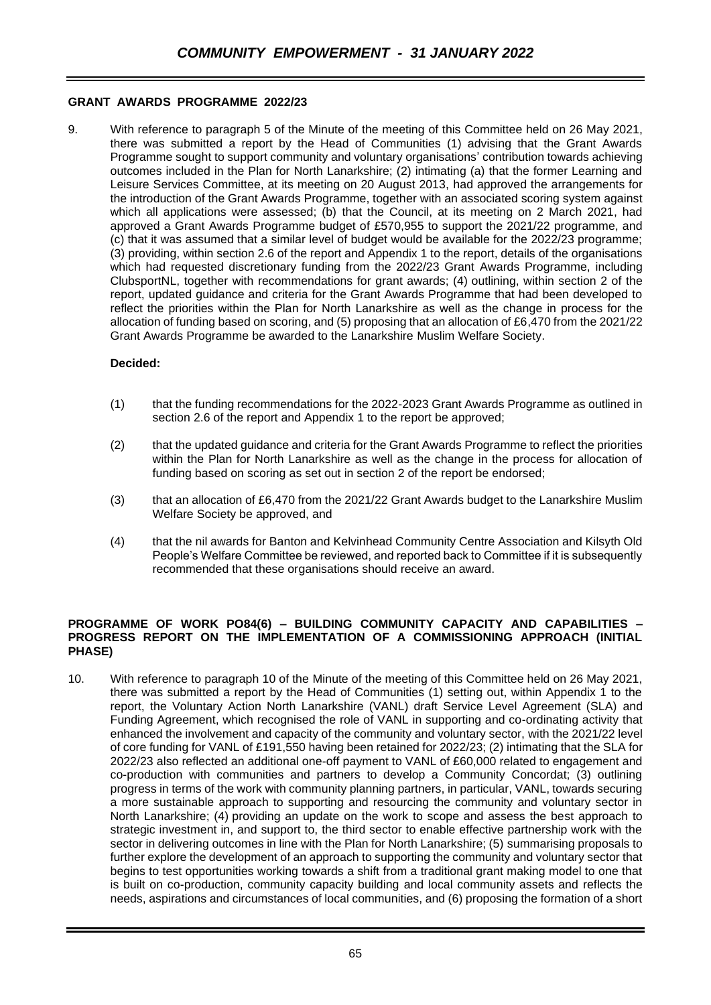# **GRANT AWARDS PROGRAMME 2022/23**

9. With reference to paragraph 5 of the Minute of the meeting of this Committee held on 26 May 2021, there was submitted a report by the Head of Communities (1) advising that the Grant Awards Programme sought to support community and voluntary organisations' contribution towards achieving outcomes included in the Plan for North Lanarkshire; (2) intimating (a) that the former Learning and Leisure Services Committee, at its meeting on 20 August 2013, had approved the arrangements for the introduction of the Grant Awards Programme, together with an associated scoring system against which all applications were assessed; (b) that the Council, at its meeting on 2 March 2021, had approved a Grant Awards Programme budget of £570,955 to support the 2021/22 programme, and (c) that it was assumed that a similar level of budget would be available for the 2022/23 programme; (3) providing, within section 2.6 of the report and Appendix 1 to the report, details of the organisations which had requested discretionary funding from the 2022/23 Grant Awards Programme, including ClubsportNL, together with recommendations for grant awards; (4) outlining, within section 2 of the report, updated guidance and criteria for the Grant Awards Programme that had been developed to reflect the priorities within the Plan for North Lanarkshire as well as the change in process for the allocation of funding based on scoring, and (5) proposing that an allocation of £6,470 from the 2021/22 Grant Awards Programme be awarded to the Lanarkshire Muslim Welfare Society.

# **Decided:**

- (1) that the funding recommendations for the 2022-2023 Grant Awards Programme as outlined in section 2.6 of the report and Appendix 1 to the report be approved;
- (2) that the updated guidance and criteria for the Grant Awards Programme to reflect the priorities within the Plan for North Lanarkshire as well as the change in the process for allocation of funding based on scoring as set out in section 2 of the report be endorsed;
- (3) that an allocation of £6,470 from the 2021/22 Grant Awards budget to the Lanarkshire Muslim Welfare Society be approved, and
- (4) that the nil awards for Banton and Kelvinhead Community Centre Association and Kilsyth Old People's Welfare Committee be reviewed, and reported back to Committee if it is subsequently recommended that these organisations should receive an award.

#### **PROGRAMME OF WORK PO84(6) – BUILDING COMMUNITY CAPACITY AND CAPABILITIES – PROGRESS REPORT ON THE IMPLEMENTATION OF A COMMISSIONING APPROACH (INITIAL PHASE)**

10. With reference to paragraph 10 of the Minute of the meeting of this Committee held on 26 May 2021, there was submitted a report by the Head of Communities (1) setting out, within Appendix 1 to the report, the Voluntary Action North Lanarkshire (VANL) draft Service Level Agreement (SLA) and Funding Agreement, which recognised the role of VANL in supporting and co-ordinating activity that enhanced the involvement and capacity of the community and voluntary sector, with the 2021/22 level of core funding for VANL of £191,550 having been retained for 2022/23; (2) intimating that the SLA for 2022/23 also reflected an additional one-off payment to VANL of £60,000 related to engagement and co-production with communities and partners to develop a Community Concordat; (3) outlining progress in terms of the work with community planning partners, in particular, VANL, towards securing a more sustainable approach to supporting and resourcing the community and voluntary sector in North Lanarkshire; (4) providing an update on the work to scope and assess the best approach to strategic investment in, and support to, the third sector to enable effective partnership work with the sector in delivering outcomes in line with the Plan for North Lanarkshire; (5) summarising proposals to further explore the development of an approach to supporting the community and voluntary sector that begins to test opportunities working towards a shift from a traditional grant making model to one that is built on co-production, community capacity building and local community assets and reflects the needs, aspirations and circumstances of local communities, and (6) proposing the formation of a short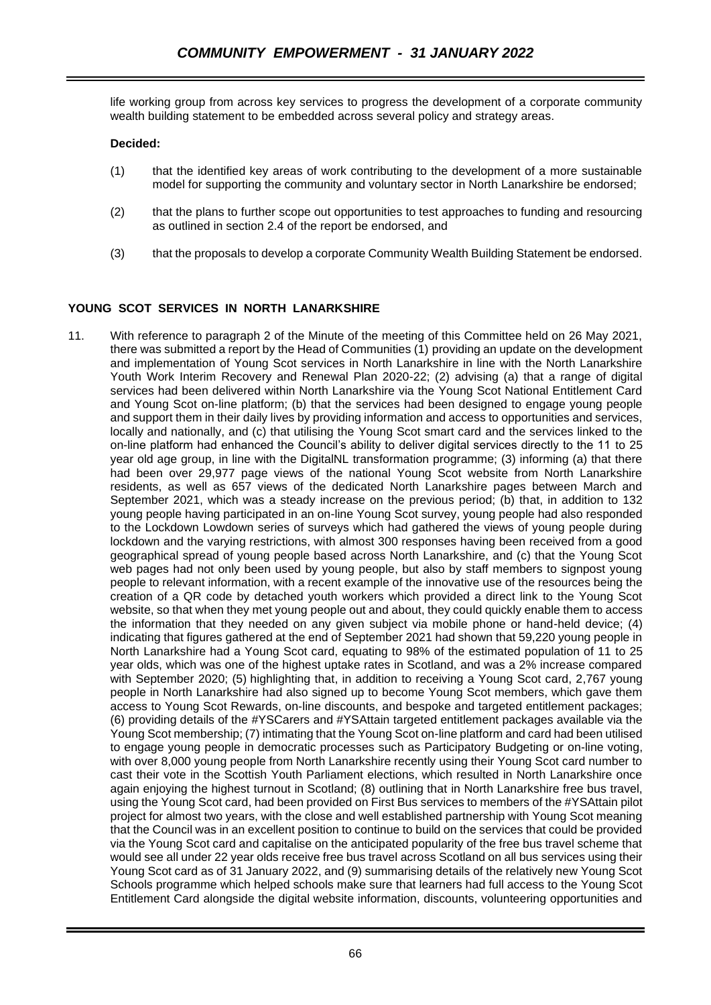life working group from across key services to progress the development of a corporate community wealth building statement to be embedded across several policy and strategy areas.

### **Decided:**

- (1) that the identified key areas of work contributing to the development of a more sustainable model for supporting the community and voluntary sector in North Lanarkshire be endorsed;
- (2) that the plans to further scope out opportunities to test approaches to funding and resourcing as outlined in section 2.4 of the report be endorsed, and
- (3) that the proposals to develop a corporate Community Wealth Building Statement be endorsed.

### **YOUNG SCOT SERVICES IN NORTH LANARKSHIRE**

11. With reference to paragraph 2 of the Minute of the meeting of this Committee held on 26 May 2021, there was submitted a report by the Head of Communities (1) providing an update on the development and implementation of Young Scot services in North Lanarkshire in line with the North Lanarkshire Youth Work Interim Recovery and Renewal Plan 2020-22; (2) advising (a) that a range of digital services had been delivered within North Lanarkshire via the Young Scot National Entitlement Card and Young Scot on-line platform; (b) that the services had been designed to engage young people and support them in their daily lives by providing information and access to opportunities and services, locally and nationally, and (c) that utilising the Young Scot smart card and the services linked to the on-line platform had enhanced the Council's ability to deliver digital services directly to the 11 to 25 year old age group, in line with the DigitalNL transformation programme; (3) informing (a) that there had been over 29,977 page views of the national Young Scot website from North Lanarkshire residents, as well as 657 views of the dedicated North Lanarkshire pages between March and September 2021, which was a steady increase on the previous period; (b) that, in addition to 132 young people having participated in an on-line Young Scot survey, young people had also responded to the Lockdown Lowdown series of surveys which had gathered the views of young people during lockdown and the varying restrictions, with almost 300 responses having been received from a good geographical spread of young people based across North Lanarkshire, and (c) that the Young Scot web pages had not only been used by young people, but also by staff members to signpost young people to relevant information, with a recent example of the innovative use of the resources being the creation of a QR code by detached youth workers which provided a direct link to the Young Scot website, so that when they met young people out and about, they could quickly enable them to access the information that they needed on any given subject via mobile phone or hand-held device; (4) indicating that figures gathered at the end of September 2021 had shown that 59,220 young people in North Lanarkshire had a Young Scot card, equating to 98% of the estimated population of 11 to 25 year olds, which was one of the highest uptake rates in Scotland, and was a 2% increase compared with September 2020; (5) highlighting that, in addition to receiving a Young Scot card, 2,767 young people in North Lanarkshire had also signed up to become Young Scot members, which gave them access to Young Scot Rewards, on-line discounts, and bespoke and targeted entitlement packages; (6) providing details of the #YSCarers and #YSAttain targeted entitlement packages available via the Young Scot membership; (7) intimating that the Young Scot on-line platform and card had been utilised to engage young people in democratic processes such as Participatory Budgeting or on-line voting, with over 8,000 young people from North Lanarkshire recently using their Young Scot card number to cast their vote in the Scottish Youth Parliament elections, which resulted in North Lanarkshire once again enjoying the highest turnout in Scotland; (8) outlining that in North Lanarkshire free bus travel, using the Young Scot card, had been provided on First Bus services to members of the #YSAttain pilot project for almost two years, with the close and well established partnership with Young Scot meaning that the Council was in an excellent position to continue to build on the services that could be provided via the Young Scot card and capitalise on the anticipated popularity of the free bus travel scheme that would see all under 22 year olds receive free bus travel across Scotland on all bus services using their Young Scot card as of 31 January 2022, and (9) summarising details of the relatively new Young Scot Schools programme which helped schools make sure that learners had full access to the Young Scot Entitlement Card alongside the digital website information, discounts, volunteering opportunities and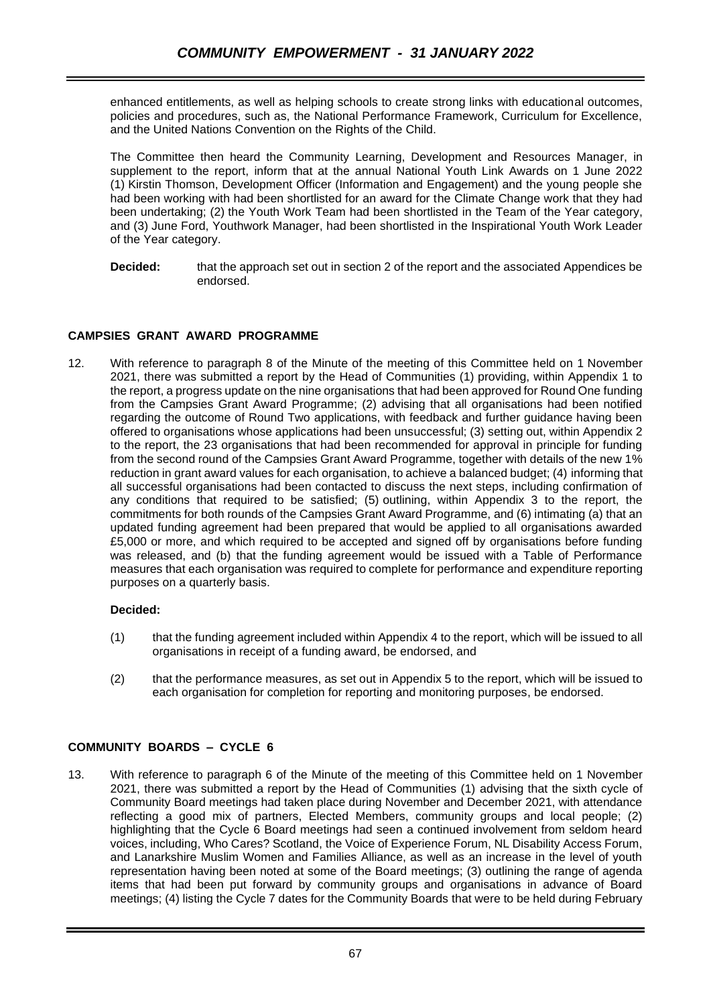enhanced entitlements, as well as helping schools to create strong links with educational outcomes, policies and procedures, such as, the National Performance Framework, Curriculum for Excellence, and the United Nations Convention on the Rights of the Child.

The Committee then heard the Community Learning, Development and Resources Manager, in supplement to the report, inform that at the annual National Youth Link Awards on 1 June 2022 (1) Kirstin Thomson, Development Officer (Information and Engagement) and the young people she had been working with had been shortlisted for an award for the Climate Change work that they had been undertaking; (2) the Youth Work Team had been shortlisted in the Team of the Year category, and (3) June Ford, Youthwork Manager, had been shortlisted in the Inspirational Youth Work Leader of the Year category.

**Decided:** that the approach set out in section 2 of the report and the associated Appendices be endorsed.

# **CAMPSIES GRANT AWARD PROGRAMME**

12. With reference to paragraph 8 of the Minute of the meeting of this Committee held on 1 November 2021, there was submitted a report by the Head of Communities (1) providing, within Appendix 1 to the report, a progress update on the nine organisations that had been approved for Round One funding from the Campsies Grant Award Programme; (2) advising that all organisations had been notified regarding the outcome of Round Two applications, with feedback and further guidance having been offered to organisations whose applications had been unsuccessful; (3) setting out, within Appendix 2 to the report, the 23 organisations that had been recommended for approval in principle for funding from the second round of the Campsies Grant Award Programme, together with details of the new 1% reduction in grant award values for each organisation, to achieve a balanced budget; (4) informing that all successful organisations had been contacted to discuss the next steps, including confirmation of any conditions that required to be satisfied; (5) outlining, within Appendix 3 to the report, the commitments for both rounds of the Campsies Grant Award Programme, and (6) intimating (a) that an updated funding agreement had been prepared that would be applied to all organisations awarded £5,000 or more, and which required to be accepted and signed off by organisations before funding was released, and (b) that the funding agreement would be issued with a Table of Performance measures that each organisation was required to complete for performance and expenditure reporting purposes on a quarterly basis.

### **Decided:**

- (1) that the funding agreement included within Appendix 4 to the report, which will be issued to all organisations in receipt of a funding award, be endorsed, and
- (2) that the performance measures, as set out in Appendix 5 to the report, which will be issued to each organisation for completion for reporting and monitoring purposes, be endorsed.

### **COMMUNITY BOARDS – CYCLE 6**

13. With reference to paragraph 6 of the Minute of the meeting of this Committee held on 1 November 2021, there was submitted a report by the Head of Communities (1) advising that the sixth cycle of Community Board meetings had taken place during November and December 2021, with attendance reflecting a good mix of partners, Elected Members, community groups and local people; (2) highlighting that the Cycle 6 Board meetings had seen a continued involvement from seldom heard voices, including, Who Cares? Scotland, the Voice of Experience Forum, NL Disability Access Forum, and Lanarkshire Muslim Women and Families Alliance, as well as an increase in the level of youth representation having been noted at some of the Board meetings; (3) outlining the range of agenda items that had been put forward by community groups and organisations in advance of Board meetings; (4) listing the Cycle 7 dates for the Community Boards that were to be held during February